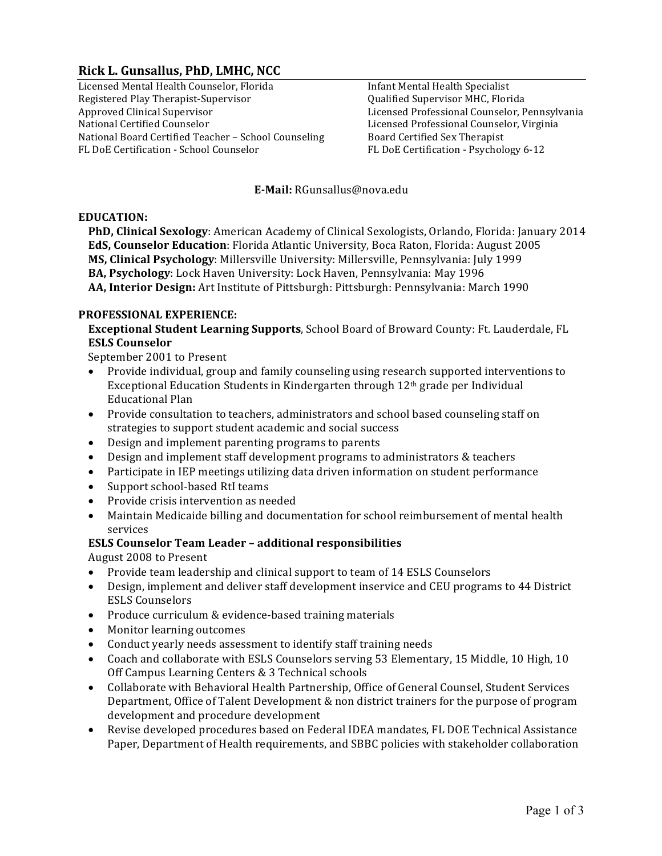# **Rick L. Gunsallus, PhD, LMHC, NCC**

Licensed Mental Health Counselor, Florida Registered Play Therapist-Supervisor Approved Clinical Supervisor National Certified Counselor National Board Certified Teacher - School Counseling FL DoE Certification - School Counselor

Infant Mental Health Specialist Qualified Supervisor MHC, Florida Licensed Professional Counselor, Pennsylvania Licensed Professional Counselor, Virginia Board Certified Sex Therapist FL DoE Certification - Psychology 6-12

#### **E-Mail:** RGunsallus@nova.edu

#### **EDUCATION:**

**PhD, Clinical Sexology**: American Academy of Clinical Sexologists, Orlando, Florida: January 2014 **EdS, Counselor Education**: Florida Atlantic University, Boca Raton, Florida: August 2005 **MS, Clinical Psychology**: Millersville University: Millersville, Pennsylvania: July 1999 **BA, Psychology**: Lock Haven University: Lock Haven, Pennsylvania: May 1996 **AA, Interior Design:** Art Institute of Pittsburgh: Pittsburgh: Pennsylvania: March 1990

#### **PROFESSIONAL EXPERIENCE:**

**Exceptional Student Learning Supports**, School Board of Broward County: Ft. Lauderdale, FL **ESLS Counselor**

September 2001 to Present

- Provide individual, group and family counseling using research supported interventions to Exceptional Education Students in Kindergarten through  $12<sup>th</sup>$  grade per Individual **Educational Plan**
- Provide consultation to teachers, administrators and school based counseling staff on strategies to support student academic and social success
- Design and implement parenting programs to parents
- Design and implement staff development programs to administrators & teachers
- Participate in IEP meetings utilizing data driven information on student performance
- Support school-based RtI teams
- Provide crisis intervention as needed
- Maintain Medicaide billing and documentation for school reimbursement of mental health services

#### **ESLS Counselor Team Leader – additional responsibilities**

August 2008 to Present

- Provide team leadership and clinical support to team of 14 ESLS Counselors
- Design, implement and deliver staff development inservice and CEU programs to 44 District ESLS Counselors
- Produce curriculum & evidence-based training materials
- Monitor learning outcomes
- Conduct yearly needs assessment to identify staff training needs
- Coach and collaborate with ESLS Counselors serving 53 Elementary, 15 Middle, 10 High, 10 Off Campus Learning Centers & 3 Technical schools
- Collaborate with Behavioral Health Partnership, Office of General Counsel, Student Services Department, Office of Talent Development & non district trainers for the purpose of program development and procedure development
- Revise developed procedures based on Federal IDEA mandates, FL DOE Technical Assistance Paper, Department of Health requirements, and SBBC policies with stakeholder collaboration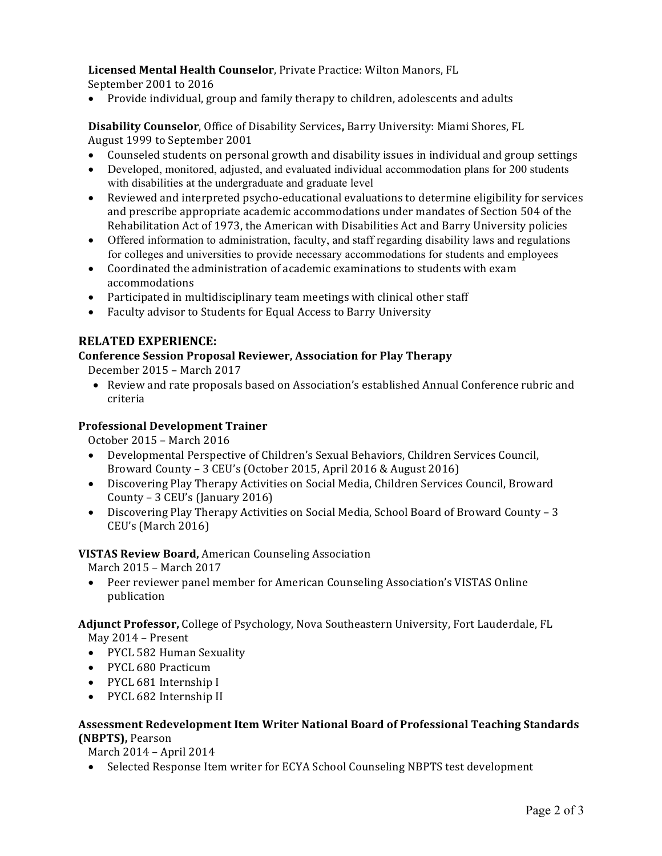# Licensed Mental Health Counselor, Private Practice: Wilton Manors, FL

September 2001 to 2016

• Provide individual, group and family therapy to children, adolescents and adults

**Disability Counselor**, Office of Disability Services, Barry University: Miami Shores, FL August 1999 to September 2001

- Counseled students on personal growth and disability issues in individual and group settings
- Developed, monitored, adjusted, and evaluated individual accommodation plans for 200 students with disabilities at the undergraduate and graduate level
- Reviewed and interpreted psycho-educational evaluations to determine eligibility for services and prescribe appropriate academic accommodations under mandates of Section 504 of the Rehabilitation Act of 1973, the American with Disabilities Act and Barry University policies
- Offered information to administration, faculty, and staff regarding disability laws and regulations for colleges and universities to provide necessary accommodations for students and employees
- Coordinated the administration of academic examinations to students with exam accommodations
- Participated in multidisciplinary team meetings with clinical other staff
- Faculty advisor to Students for Equal Access to Barry University

# **RELATED EXPERIENCE:**

# **Conference Session Proposal Reviewer, Association for Play Therapy**

December 2015 - March 2017

• Review and rate proposals based on Association's established Annual Conference rubric and criteria

# **Professional Development Trainer**

October 2015 - March 2016

- Developmental Perspective of Children's Sexual Behaviors, Children Services Council, Broward County - 3 CEU's (October 2015, April 2016 & August 2016)
- Discovering Play Therapy Activities on Social Media, Children Services Council, Broward County  $-3$  CEU's (January 2016)
- Discovering Play Therapy Activities on Social Media, School Board of Broward County 3 CEU's (March 2016)

# **VISTAS Review Board, American Counseling Association**

March 2015 - March 2017

• Peer reviewer panel member for American Counseling Association's VISTAS Online publication

#### Adjunct Professor, College of Psychology, Nova Southeastern University, Fort Lauderdale, FL May 2014 - Present

- PYCL 582 Human Sexuality
- PYCL 680 Practicum
- PYCL 681 Internship I
- PYCL 682 Internship II

# Assessment Redevelopment Item Writer National Board of Professional Teaching Standards **(NBPTS),** Pearson

March 2014 - April 2014

• Selected Response Item writer for ECYA School Counseling NBPTS test development